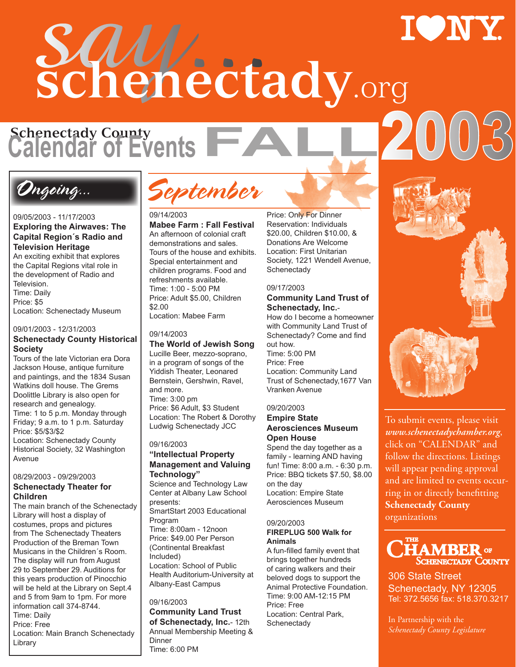# say... **schenectady**.org

**Schenectady County Calendar of Events**<br>**FALL2003** 

### Ongoing...

#### 09/05/2003 - 11/17/2003 **Exploring the Airwaves: The Capital Region´s Radio and Television Heritage**

An exciting exhibit that explores the Capital Regions vital role in the development of Radio and Television. Time: Daily Price: \$5

Location: Schenectady Museum

#### 09/01/2003 - 12/31/2003

#### **Schenectady County Historical Society**

Tours of the late Victorian era Dora Jackson House, antique furniture and paintings, and the 1834 Susan Watkins doll house. The Grems Doolittle Library is also open for research and genealogy. Time: 1 to 5 p.m. Monday through Friday; 9 a.m. to 1 p.m. Saturday Price: \$5/\$3/\$2 Location: Schenectady County

Historical Society, 32 Washington Avenue

#### 08/29/2003 - 09/29/2003 **Schenectady Theater for Children**

The main branch of the Schenectady Library will host a display of costumes, props and pictures from The Schenectady Theaters Production of the Breman Town Musicans in the Children´s Room. The display will run from August 29 to September 29. Auditions for this years production of Pinocchio will be held at the Library on Sept.4 and 5 from 9am to 1pm. For more information call 374-8744. Time: Daily Price: Free Location: Main Branch Schenectady Library

September

#### 09/14/2003

**Mabee Farm : Fall Festival**  An afternoon of colonial craft demonstrations and sales. Tours of the house and exhibits. Special entertainment and children programs. Food and refreshments available. Time: 1:00 - 5:00 PM Price: Adult \$5.00, Children \$2.00 Location: Mabee Farm

#### 09/14/2003

**The World of Jewish Song** Lucille Beer, mezzo-soprano, in a program of songs of the Yiddish Theater, Leonared Bernstein, Gershwin, Ravel, and more. Time: 3:00 pm Price: \$6 Adult, \$3 Student Location: The Robert & Dorothy Ludwig Schenectady JCC

#### 09/16/2003 **"Intellectual Property Management and Valuing**

#### **Technology"**

Science and Technology Law Center at Albany Law School presents: SmartStart 2003 Educational Program Time: 8:00am - 12noon Price: \$49.00 Per Person (Continental Breakfast Included) Location: School of Public Health Auditorium-University at Albany-East Campus

#### 09/16/2003

**Community Land Trust of Schenectady, Inc.**- 12th Annual Membership Meeting & Dinner Time: 6:00 PM

Price: Only For Dinner Reservation: Individuals \$20.00, Children \$10.00, & Donations Are Welcome Location: First Unitarian Society, 1221 Wendell Avenue, **Schenectady** 

#### 09/17/2003

#### **Community Land Trust of Schenectady, Inc.**-

How do I become a homeowner with Community Land Trust of Schenectady? Come and find out how. Time: 5:00 PM Price: Free Location: Community Land Trust of Schenectady,1677 Van Vranken Avenue

#### 09/20/2003

#### **Empire State Aerosciences Museum Open House**

Spend the day together as a family - learning AND having fun! Time: 8:00 a.m. - 6:30 p.m. Price: BBQ tickets \$7.50, \$8.00 on the day Location: Empire State Aerosciences Museum

#### 09/20/2003 **FIREPLUG 500 Walk for Animals**

A fun-filled family event that brings together hundreds of caring walkers and their beloved dogs to support the Animal Protective Foundation. Time: 9:00 AM-12:15 PM Price: Free Location: Central Park, **Schenectady** 

To submit events, please visit

*www.schenectadychamber.org*, click on "CALENDAR" and follow the directions. Listings will appear pending approval and are limited to events occurring in or directly benefitting **Schenectady County** organizations



306 State Street Schenectady, NY 12305 Tel: 372.5656 fax: 518.370.3217

In Partnership with the *Schenectady County Legislature*